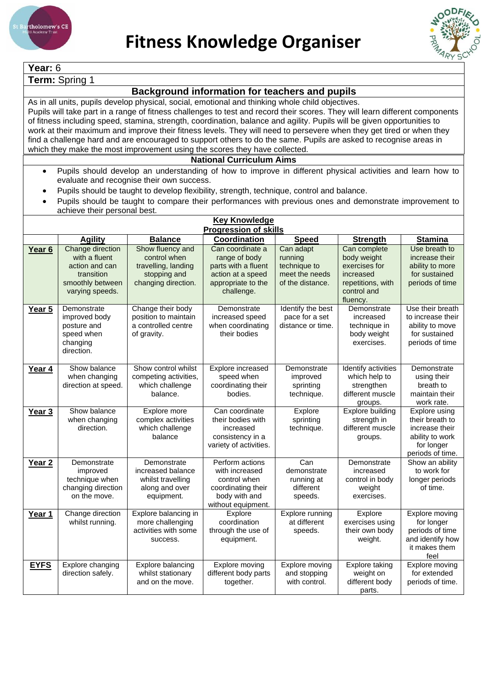



| Year: 6                                                                                                                                                                                                                                                                                                                                                                                                                                                                                                                                                                                                                                                                                                                                                                                                                                              |                                                                                      |                                                                                       |                                                                                                                |                                                               |                                                                                           |                                                                                                         |  |  |
|------------------------------------------------------------------------------------------------------------------------------------------------------------------------------------------------------------------------------------------------------------------------------------------------------------------------------------------------------------------------------------------------------------------------------------------------------------------------------------------------------------------------------------------------------------------------------------------------------------------------------------------------------------------------------------------------------------------------------------------------------------------------------------------------------------------------------------------------------|--------------------------------------------------------------------------------------|---------------------------------------------------------------------------------------|----------------------------------------------------------------------------------------------------------------|---------------------------------------------------------------|-------------------------------------------------------------------------------------------|---------------------------------------------------------------------------------------------------------|--|--|
| Term: Spring 1                                                                                                                                                                                                                                                                                                                                                                                                                                                                                                                                                                                                                                                                                                                                                                                                                                       |                                                                                      |                                                                                       |                                                                                                                |                                                               |                                                                                           |                                                                                                         |  |  |
| Background information for teachers and pupils                                                                                                                                                                                                                                                                                                                                                                                                                                                                                                                                                                                                                                                                                                                                                                                                       |                                                                                      |                                                                                       |                                                                                                                |                                                               |                                                                                           |                                                                                                         |  |  |
| As in all units, pupils develop physical, social, emotional and thinking whole child objectives.<br>Pupils will take part in a range of fitness challenges to test and record their scores. They will learn different components<br>of fitness including speed, stamina, strength, coordination, balance and agility. Pupils will be given opportunities to<br>work at their maximum and improve their fitness levels. They will need to persevere when they get tired or when they<br>find a challenge hard and are encouraged to support others to do the same. Pupils are asked to recognise areas in<br>which they make the most improvement using the scores they have collected.<br><b>National Curriculum Aims</b><br>Pupils should develop an understanding of how to improve in different physical activities and learn how to<br>$\bullet$ |                                                                                      |                                                                                       |                                                                                                                |                                                               |                                                                                           |                                                                                                         |  |  |
|                                                                                                                                                                                                                                                                                                                                                                                                                                                                                                                                                                                                                                                                                                                                                                                                                                                      |                                                                                      | evaluate and recognise their own success.                                             |                                                                                                                |                                                               |                                                                                           |                                                                                                         |  |  |
| Pupils should be taught to develop flexibility, strength, technique, control and balance.<br>Pupils should be taught to compare their performances with previous ones and demonstrate improvement to<br>achieve their personal best.                                                                                                                                                                                                                                                                                                                                                                                                                                                                                                                                                                                                                 |                                                                                      |                                                                                       |                                                                                                                |                                                               |                                                                                           |                                                                                                         |  |  |
|                                                                                                                                                                                                                                                                                                                                                                                                                                                                                                                                                                                                                                                                                                                                                                                                                                                      |                                                                                      |                                                                                       | <b>Key Knowledge</b>                                                                                           |                                                               |                                                                                           |                                                                                                         |  |  |
|                                                                                                                                                                                                                                                                                                                                                                                                                                                                                                                                                                                                                                                                                                                                                                                                                                                      | <b>Agility</b>                                                                       | <b>Balance</b>                                                                        | <b>Progression of skills</b><br>Coordination                                                                   | <b>Speed</b>                                                  | <b>Strength</b>                                                                           | <b>Stamina</b>                                                                                          |  |  |
| Year <sub>6</sub>                                                                                                                                                                                                                                                                                                                                                                                                                                                                                                                                                                                                                                                                                                                                                                                                                                    | Change direction                                                                     | Show fluency and                                                                      | Can coordinate a                                                                                               | Can adapt                                                     | Can complete                                                                              | Use breath to                                                                                           |  |  |
|                                                                                                                                                                                                                                                                                                                                                                                                                                                                                                                                                                                                                                                                                                                                                                                                                                                      | with a fluent<br>action and can<br>transition<br>smoothly between<br>varying speeds. | control when<br>travelling, landing<br>stopping and<br>changing direction.            | range of body<br>parts with a fluent<br>action at a speed<br>appropriate to the<br>challenge.                  | running<br>technique to<br>meet the needs<br>of the distance. | body weight<br>exercises for<br>increased<br>repetitions, with<br>control and<br>fluency. | increase their<br>ability to more<br>for sustained<br>periods of time                                   |  |  |
| Year 5                                                                                                                                                                                                                                                                                                                                                                                                                                                                                                                                                                                                                                                                                                                                                                                                                                               | Demonstrate<br>improved body<br>posture and<br>speed when<br>changing<br>direction.  | Change their body<br>position to maintain<br>a controlled centre<br>of gravity.       | Demonstrate<br>increased speed<br>when coordinating<br>their bodies                                            | Identify the best<br>pace for a set<br>distance or time.      | Demonstrate<br>increased<br>technique in<br>body weight<br>exercises.                     | Use their breath<br>to increase their<br>ability to move<br>for sustained<br>periods of time            |  |  |
| Year 4                                                                                                                                                                                                                                                                                                                                                                                                                                                                                                                                                                                                                                                                                                                                                                                                                                               | Show balance<br>when changing<br>direction at speed.                                 | Show control whilst<br>competing activities,<br>which challenge<br>balance.           | Explore increased<br>speed when<br>coordinating their<br>bodies.                                               | Demonstrate<br>improved<br>sprinting<br>technique.            | Identify activities<br>which help to<br>strengthen<br>different muscle<br>groups.         | Demonstrate<br>using their<br>breath to<br>maintain their<br>work rate.                                 |  |  |
| Year 3                                                                                                                                                                                                                                                                                                                                                                                                                                                                                                                                                                                                                                                                                                                                                                                                                                               | Show balance<br>when changing<br>direction.                                          | Explore more<br>complex activities<br>which challenge<br>balance                      | Can coordinate<br>their bodies with<br>increased<br>consistency in a<br>variety of activities.                 | Explore<br>sprinting<br>technique.                            | Explore building<br>strength in<br>different muscle<br>groups.                            | Explore using<br>their breath to<br>increase their<br>ability to work<br>for longer<br>periods of time. |  |  |
| Year 2                                                                                                                                                                                                                                                                                                                                                                                                                                                                                                                                                                                                                                                                                                                                                                                                                                               | Demonstrate<br>improved<br>technique when<br>changing direction<br>on the move.      | Demonstrate<br>increased balance<br>whilst travelling<br>along and over<br>equipment. | Perform actions<br>with increased<br>control when<br>coordinating their<br>body with and<br>without equipment. | Can<br>demonstrate<br>running at<br>different<br>speeds.      | Demonstrate<br>increased<br>control in body<br>weight<br>exercises.                       | Show an ability<br>to work for<br>longer periods<br>of time.                                            |  |  |
| Year 1                                                                                                                                                                                                                                                                                                                                                                                                                                                                                                                                                                                                                                                                                                                                                                                                                                               | Change direction<br>whilst running.                                                  | Explore balancing in<br>more challenging<br>activities with some<br>success.          | Explore<br>coordination<br>through the use of<br>equipment.                                                    | Explore running<br>at different<br>speeds.                    | Explore<br>exercises using<br>their own body<br>weight.                                   | Explore moving<br>for longer<br>periods of time<br>and identify how<br>it makes them<br>feel            |  |  |
| <b>EYFS</b>                                                                                                                                                                                                                                                                                                                                                                                                                                                                                                                                                                                                                                                                                                                                                                                                                                          | Explore changing<br>direction safely.                                                | Explore balancing<br>whilst stationary<br>and on the move.                            | Explore moving<br>different body parts<br>together.                                                            | Explore moving<br>and stopping<br>with control.               | Explore taking<br>weight on<br>different body<br>parts.                                   | Explore moving<br>for extended<br>periods of time.                                                      |  |  |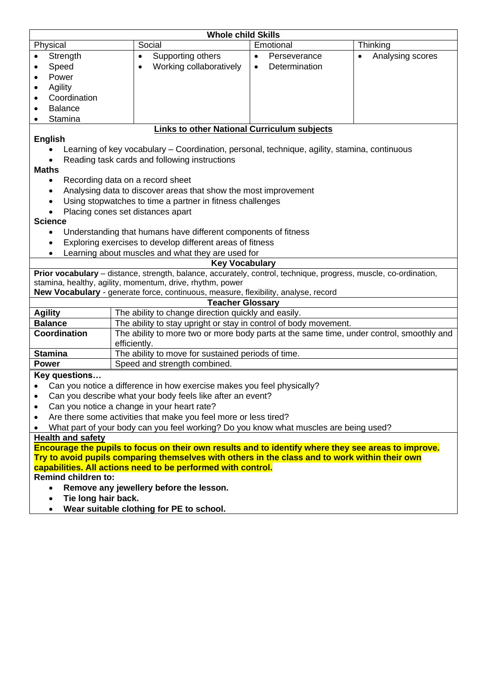| <b>Whole child Skills</b>                                                                           |                                                                                                                  |                                                                                                                         |                  |  |  |  |  |  |
|-----------------------------------------------------------------------------------------------------|------------------------------------------------------------------------------------------------------------------|-------------------------------------------------------------------------------------------------------------------------|------------------|--|--|--|--|--|
| Physical                                                                                            | Social                                                                                                           | Emotional                                                                                                               | Thinking         |  |  |  |  |  |
| Strength                                                                                            | Supporting others<br>$\bullet$                                                                                   | Perseverance<br>$\bullet$                                                                                               | Analysing scores |  |  |  |  |  |
| Speed                                                                                               | Working collaboratively                                                                                          | Determination<br>$\bullet$                                                                                              |                  |  |  |  |  |  |
| Power<br>٠                                                                                          |                                                                                                                  |                                                                                                                         |                  |  |  |  |  |  |
| Agility<br>٠                                                                                        |                                                                                                                  |                                                                                                                         |                  |  |  |  |  |  |
| Coordination<br>$\bullet$                                                                           |                                                                                                                  |                                                                                                                         |                  |  |  |  |  |  |
| <b>Balance</b>                                                                                      |                                                                                                                  |                                                                                                                         |                  |  |  |  |  |  |
| Stamina                                                                                             |                                                                                                                  |                                                                                                                         |                  |  |  |  |  |  |
|                                                                                                     | <b>Links to other National Curriculum subjects</b>                                                               |                                                                                                                         |                  |  |  |  |  |  |
| <b>English</b>                                                                                      |                                                                                                                  |                                                                                                                         |                  |  |  |  |  |  |
|                                                                                                     | Learning of key vocabulary - Coordination, personal, technique, agility, stamina, continuous                     |                                                                                                                         |                  |  |  |  |  |  |
|                                                                                                     | Reading task cards and following instructions                                                                    |                                                                                                                         |                  |  |  |  |  |  |
| <b>Maths</b>                                                                                        |                                                                                                                  |                                                                                                                         |                  |  |  |  |  |  |
| $\bullet$                                                                                           | Recording data on a record sheet                                                                                 |                                                                                                                         |                  |  |  |  |  |  |
|                                                                                                     | Analysing data to discover areas that show the most improvement                                                  |                                                                                                                         |                  |  |  |  |  |  |
|                                                                                                     | Using stopwatches to time a partner in fitness challenges                                                        |                                                                                                                         |                  |  |  |  |  |  |
|                                                                                                     | Placing cones set distances apart                                                                                |                                                                                                                         |                  |  |  |  |  |  |
| <b>Science</b>                                                                                      |                                                                                                                  |                                                                                                                         |                  |  |  |  |  |  |
| $\bullet$                                                                                           | Understanding that humans have different components of fitness                                                   |                                                                                                                         |                  |  |  |  |  |  |
|                                                                                                     | Exploring exercises to develop different areas of fitness                                                        |                                                                                                                         |                  |  |  |  |  |  |
|                                                                                                     | Learning about muscles and what they are used for                                                                |                                                                                                                         |                  |  |  |  |  |  |
|                                                                                                     | <b>Key Vocabulary</b>                                                                                            |                                                                                                                         |                  |  |  |  |  |  |
|                                                                                                     | Prior vocabulary - distance, strength, balance, accurately, control, technique, progress, muscle, co-ordination, |                                                                                                                         |                  |  |  |  |  |  |
|                                                                                                     | stamina, healthy, agility, momentum, drive, rhythm, power                                                        |                                                                                                                         |                  |  |  |  |  |  |
|                                                                                                     | New Vocabulary - generate force, continuous, measure, flexibility, analyse, record                               |                                                                                                                         |                  |  |  |  |  |  |
|                                                                                                     | <b>Teacher Glossary</b>                                                                                          |                                                                                                                         |                  |  |  |  |  |  |
| <b>Agility</b><br><b>Balance</b>                                                                    |                                                                                                                  | The ability to change direction quickly and easily.<br>The ability to stay upright or stay in control of body movement. |                  |  |  |  |  |  |
| <b>Coordination</b>                                                                                 |                                                                                                                  | The ability to more two or more body parts at the same time, under control, smoothly and                                |                  |  |  |  |  |  |
|                                                                                                     | efficiently.                                                                                                     |                                                                                                                         |                  |  |  |  |  |  |
| <b>Stamina</b>                                                                                      | The ability to move for sustained periods of time.                                                               |                                                                                                                         |                  |  |  |  |  |  |
| <b>Power</b>                                                                                        | Speed and strength combined.                                                                                     |                                                                                                                         |                  |  |  |  |  |  |
| Key questions                                                                                       |                                                                                                                  |                                                                                                                         |                  |  |  |  |  |  |
|                                                                                                     | Can you notice a difference in how exercise makes you feel physically?                                           |                                                                                                                         |                  |  |  |  |  |  |
| Can you describe what your body feels like after an event?                                          |                                                                                                                  |                                                                                                                         |                  |  |  |  |  |  |
| Can you notice a change in your heart rate?<br>$\bullet$                                            |                                                                                                                  |                                                                                                                         |                  |  |  |  |  |  |
| Are there some activities that make you feel more or less tired?<br>$\bullet$                       |                                                                                                                  |                                                                                                                         |                  |  |  |  |  |  |
| What part of your body can you feel working? Do you know what muscles are being used?               |                                                                                                                  |                                                                                                                         |                  |  |  |  |  |  |
| <b>Health and safety</b>                                                                            |                                                                                                                  |                                                                                                                         |                  |  |  |  |  |  |
| Encourage the pupils to focus on their own results and to identify where they see areas to improve. |                                                                                                                  |                                                                                                                         |                  |  |  |  |  |  |
| Try to avoid pupils comparing themselves with others in the class and to work within their own      |                                                                                                                  |                                                                                                                         |                  |  |  |  |  |  |
| capabilities. All actions need to be performed with control.                                        |                                                                                                                  |                                                                                                                         |                  |  |  |  |  |  |
| <b>Remind children to:</b>                                                                          |                                                                                                                  |                                                                                                                         |                  |  |  |  |  |  |
| Remove any jewellery before the lesson.                                                             |                                                                                                                  |                                                                                                                         |                  |  |  |  |  |  |

- **Tie long hair back.**
- **Wear suitable clothing for PE to school.**